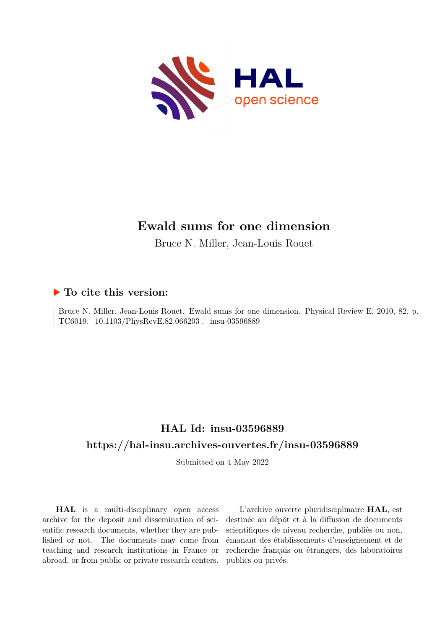

# **Ewald sums for one dimension**

Bruce N. Miller, Jean-Louis Rouet

### **To cite this version:**

Bruce N. Miller, Jean-Louis Rouet. Ewald sums for one dimension. Physical Review E, 2010, 82, p. TC6019. 10.1103/PhysRevE.82.066203. insu-03596889

## **HAL Id: insu-03596889 <https://hal-insu.archives-ouvertes.fr/insu-03596889>**

Submitted on 4 May 2022

**HAL** is a multi-disciplinary open access archive for the deposit and dissemination of scientific research documents, whether they are published or not. The documents may come from teaching and research institutions in France or abroad, or from public or private research centers.

L'archive ouverte pluridisciplinaire **HAL**, est destinée au dépôt et à la diffusion de documents scientifiques de niveau recherche, publiés ou non, émanant des établissements d'enseignement et de recherche français ou étrangers, des laboratoires publics ou privés.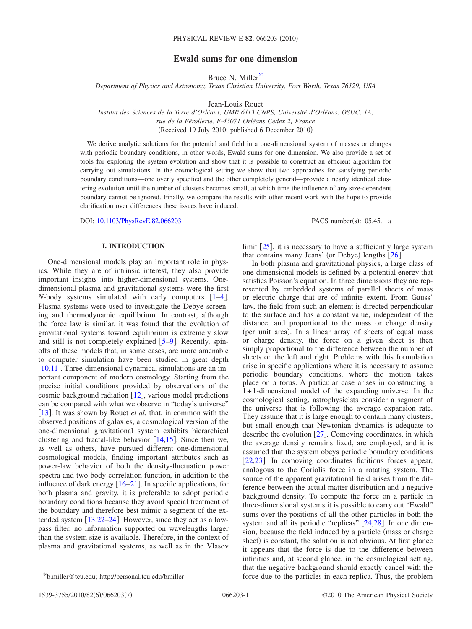### **Ewald sums for one dimension**

Bruce N. Miller\*

*Department of Physics and Astronomy, Texas Christian University, Fort Worth, Texas 76129, USA*

Jean-Louis Rouet

*Institut des Sciences de la Terre d'Orléans, UMR 6113 CNRS, Université d'Orléans, OSUC, 1A, rue de la Férollerie, F-45071 Orléans Cedex 2, France*

(Received 19 July 2010; published 6 December 2010)

We derive analytic solutions for the potential and field in a one-dimensional system of masses or charges with periodic boundary conditions, in other words, Ewald sums for one dimension. We also provide a set of tools for exploring the system evolution and show that it is possible to construct an efficient algorithm for carrying out simulations. In the cosmological setting we show that two approaches for satisfying periodic boundary conditions—one overly specified and the other completely general—provide a nearly identical clustering evolution until the number of clusters becomes small, at which time the influence of any size-dependent boundary cannot be ignored. Finally, we compare the results with other recent work with the hope to provide clarification over differences these issues have induced.

DOI: [10.1103/PhysRevE.82.066203](http://dx.doi.org/10.1103/PhysRevE.82.066203)

PACS number(s):  $05.45 - a$ 

#### **I. INTRODUCTION**

One-dimensional models play an important role in physics. While they are of intrinsic interest, they also provide important insights into higher-dimensional systems. Onedimensional plasma and gravitational systems were the first *N*-body systems simulated with early computers  $[1-4]$ . Plasma systems were used to investigate the Debye screening and thermodynamic equilibrium. In contrast, although the force law is similar, it was found that the evolution of gravitational systems toward equilibrium is extremely slow and still is not completely explained  $[5-9]$ . Recently, spinoffs of these models that, in some cases, are more amenable to computer simulation have been studied in great depth [10,11]. Three-dimensional dynamical simulations are an important component of modern cosmology. Starting from the precise initial conditions provided by observations of the cosmic background radiation  $[12]$ , various model predictions can be compared with what we observe in "today's universe" [13]. It was shown by Rouet *et al.* that, in common with the observed positions of galaxies, a cosmological version of the one-dimensional gravitational system exhibits hierarchical clustering and fractal-like behavior  $[14,15]$ . Since then we, as well as others, have pursued different one-dimensional cosmological models, finding important attributes such as power-law behavior of both the density-fluctuation power spectra and two-body correlation function, in addition to the influence of dark energy  $\left[16-21\right]$ . In specific applications, for both plasma and gravity, it is preferable to adopt periodic boundary conditions because they avoid special treatment of the boundary and therefore best mimic a segment of the extended system  $[13,22-24]$ . However, since they act as a lowpass filter, no information supported on wavelengths larger than the system size is available. Therefore, in the context of plasma and gravitational systems, as well as in the Vlasov

limit  $[25]$ , it is necessary to have a sufficiently large system that contains many Jeans' (or Debye) lengths [26].

In both plasma and gravitational physics, a large class of one-dimensional models is defined by a potential energy that satisfies Poisson's equation. In three dimensions they are represented by embedded systems of parallel sheets of mass or electric charge that are of infinite extent. From Gauss' law, the field from such an element is directed perpendicular to the surface and has a constant value, independent of the distance, and proportional to the mass or charge density (per unit area). In a linear array of sheets of equal mass or charge density, the force on a given sheet is then simply proportional to the difference between the number of sheets on the left and right. Problems with this formulation arise in specific applications where it is necessary to assume periodic boundary conditions, where the motion takes place on a torus. A particular case arises in constructing a 1+ 1-dimensional model of the expanding universe. In the cosmological setting, astrophysicists consider a segment of the universe that is following the average expansion rate. They assume that it is large enough to contain many clusters, but small enough that Newtonian dynamics is adequate to describe the evolution  $[27]$ . Comoving coordinates, in which the average density remains fixed, are employed, and it is assumed that the system obeys periodic boundary conditions [22,23]. In comoving coordinates fictitious forces appear, analogous to the Coriolis force in a rotating system. The source of the apparent gravitational field arises from the difference between the actual matter distribution and a negative background density. To compute the force on a particle in three-dimensional systems it is possible to carry out "Ewald" sums over the positions of all the other particles in both the system and all its periodic "replicas"  $[24,28]$ . In one dimension, because the field induced by a particle (mass or charge sheet) is constant, the solution is not obvious. At first glance it appears that the force is due to the difference between infinities and, at second glance, in the cosmological setting, that the negative background should exactly cancel with the \*b.miller@tcu.edu; http://personal.tcu.edu/bmiller force due to the particles in each replica. Thus, the problem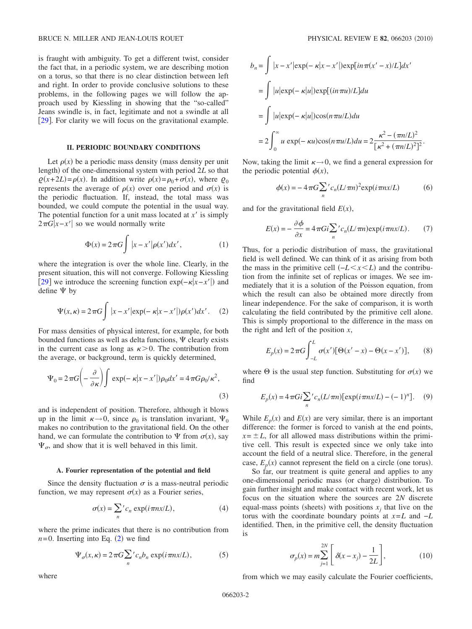is fraught with ambiguity. To get a different twist, consider the fact that, in a periodic system, we are describing motion on a torus, so that there is no clear distinction between left and right. In order to provide conclusive solutions to these problems, in the following pages we will follow the approach used by Kiessling in showing that the "so-called" Jeans swindle is, in fact, legitimate and not a swindle at all [29]. For clarity we will focus on the gravitational example.

#### **II. PERIODIC BOUNDARY CONDITIONS**

Let  $\rho(x)$  be a periodic mass density (mass density per unit length) of the one-dimensional system with period 2L so that  $\varrho(x+2L) = \rho(x)$ . In addition write  $\rho(x) = \rho_0 + \sigma(x)$ , where  $\varrho_0$ represents the average of  $\rho(x)$  over one period and  $\sigma(x)$  is the periodic fluctuation. If, instead, the total mass was bounded, we could compute the potential in the usual way. The potential function for a unit mass located at  $x'$  is simply  $2\pi G|x-x'|$  so we would normally write

$$
\Phi(x) = 2\pi G \int |x - x'| \rho(x') dx', \qquad (1)
$$

where the integration is over the whole line. Clearly, in the present situation, this will not converge. Following Kiessling [29] we introduce the screening function  $exp(-\kappa |x-x'|)$  and define  $\Psi$  by

$$
\Psi(x,\kappa) = 2\pi G \int |x - x'| \exp(-\kappa |x - x'|) \rho(x') dx'.
$$
 (2)

For mass densities of physical interest, for example, for both bounded functions as well as delta functions,  $\Psi$  clearly exists in the current case as long as  $\kappa > 0$ . The contribution from the average, or background, term is quickly determined,

$$
\Psi_0 = 2\pi G \left( -\frac{\partial}{\partial \kappa} \right) \int \exp(-\kappa |x - x'|) \rho_0 dx' = 4\pi G \rho_0 / \kappa^2,
$$
\n(3)

and is independent of position. Therefore, although it blows up in the limit  $\kappa \rightarrow 0$ , since  $\rho_0$  is translation invariant,  $\Psi_0$ makes no contribution to the gravitational field. On the other hand, we can formulate the contribution to  $\Psi$  from  $\sigma(x)$ , say  $\Psi_{\sigma}$ , and show that it is well behaved in this limit.

#### **A. Fourier representation of the potential and field**

Since the density fluctuation  $\sigma$  is a mass-neutral periodic function, we may represent  $\sigma(x)$  as a Fourier series,

$$
\sigma(x) = \sum_{n}^{\prime} c_n \exp(i \pi nx/L), \qquad (4)
$$

where the prime indicates that there is no contribution from  $n=0$ . Inserting into Eq. (2) we find

$$
\Psi_{\sigma}(x,\kappa) = 2\pi G \sum_{n}^{\dagger} c_n b_n \exp(i\pi nx/L), \tag{5}
$$

$$
b_n = \int |x - x'| \exp(-\kappa |x - x'|) \exp[i n \pi (x' - x) / L] dx'
$$
  
= 
$$
\int |u| \exp(-\kappa |u|) \exp[(in \pi u) / L] du
$$
  
= 
$$
\int |u| \exp(-\kappa |u|) \cos(n \pi u / L) du
$$
  
= 
$$
2 \int_0^\infty u \exp(-\kappa u) \cos(n \pi u / L) du = 2 \frac{\kappa^2 - (\pi n / L)^2}{[\kappa^2 + (\pi n / L)^2]^2}.
$$

Now, taking the limit  $\kappa \rightarrow 0$ , we find a general expression for the periodic potential  $\phi(x)$ ,

$$
\phi(x) = -4\pi G \sum_{n}^{\prime} c_n (L/\pi n)^2 \exp(i\pi nx/L) \tag{6}
$$

and for the gravitational field  $E(x)$ ,

$$
E(x) = -\frac{\partial \phi}{\partial x} = 4\pi G i \sum_{n}^{\prime} c_n (L/\pi n) \exp(i\pi n x/L). \tag{7}
$$

Thus, for a periodic distribution of mass, the gravitational field is well defined. We can think of it as arising from both the mass in the primitive cell  $(-L \le x \le L)$  and the contribution from the infinite set of replicas or images. We see immediately that it is a solution of the Poisson equation, from which the result can also be obtained more directly from linear independence. For the sake of comparison, it is worth calculating the field contributed by the primitive cell alone. This is simply proportional to the difference in the mass on the right and left of the position *x*,

$$
E_p(x) = 2\pi G \int_{-L}^{L} \sigma(x') [\Theta(x'-x) - \Theta(x-x')], \qquad (8)
$$

where  $\Theta$  is the usual step function. Substituting for  $\sigma(x)$  we find

$$
E_p(x) = 4\pi G i \sum_{n} c_n (L/\pi n) [\exp(i\pi nx/L) - (-1)^n].
$$
 (9)

While  $E_p(x)$  and  $E(x)$  are very similar, there is an important difference: the former is forced to vanish at the end points,  $x = \pm L$ , for all allowed mass distributions within the primitive cell. This result is expected since we only take into account the field of a neutral slice. Therefore, in the general case,  $E_p(x)$  cannot represent the field on a circle (one torus).

So far, our treatment is quite general and applies to any one-dimensional periodic mass (or charge) distribution. To gain further insight and make contact with recent work, let us focus on the situation where the sources are 2*N* discrete equal-mass points (sheets) with positions  $x_j$  that live on the torus with the coordinate boundary points at *x*=*L* and −*L* identified. Then, in the primitive cell, the density fluctuation is

$$
\sigma_p(x) = m \sum_{j=1}^{2N} \left[ \delta(x - x_j) - \frac{1}{2L} \right],
$$
 (10)

from which we may easily calculate the Fourier coefficients,

where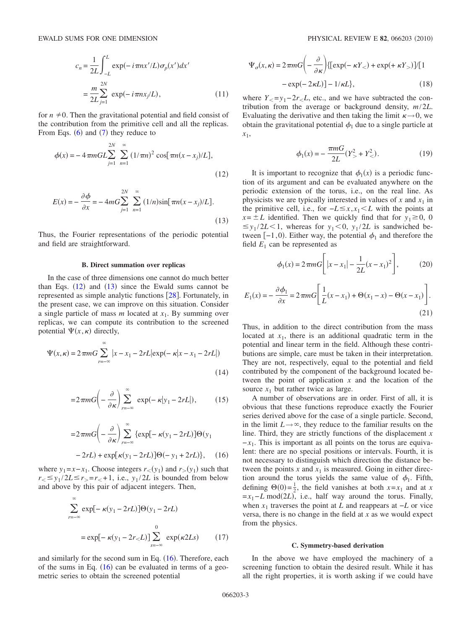$$
c_n = \frac{1}{2L} \int_{-L}^{L} \exp(-i\pi nx'/L)\sigma_p(x')dx'
$$
  
= 
$$
\frac{m}{2L} \sum_{j=1}^{2N} \exp(-i\pi nx_j/L),
$$
 (11)

for  $n \neq 0$ . Then the gravitational potential and field consist of the contribution from the primitive cell and all the replicas. From Eqs.  $(6)$  and  $(7)$  they reduce to

$$
\phi(x) = -4\pi mGL \sum_{j=1}^{2N} \sum_{n=1}^{\infty} (1/\pi n)^2 \cos[\pi n(x - x_j)/L],
$$
\n(12)

$$
E(x) = -\frac{\partial \phi}{\partial x} = -4mG \sum_{j=1}^{2N} \sum_{n=1}^{\infty} (1/n) \sin[\pi n (x - x_j)/L].
$$
\n(13)

Thus, the Fourier representations of the periodic potential and field are straightforward.

#### **B. Direct summation over replicas**

In the case of three dimensions one cannot do much better than Eqs.  $(12)$  and  $(13)$  since the Ewald sums cannot be represented as simple analytic functions  $[28]$ . Fortunately, in the present case, we can improve on this situation. Consider a single particle of mass *m* located at *x*1. By summing over replicas, we can compute its contribution to the screened potential  $\Psi(x,\kappa)$  directly,

$$
\Psi(x,\kappa) = 2\pi m G \sum_{r=-\infty}^{\infty} |x - x_1 - 2rL|\exp(-\kappa|x - x_1 - 2rL|)
$$
\n(14)

$$
=2\pi mG\left(-\frac{\partial}{\partial\kappa}\right)_{r=-\infty}^{\infty}\exp(-\kappa|y_1-2rL|),\qquad(15)
$$

$$
=2\pi mG\left(-\frac{\partial}{\partial\kappa}\right)\sum_{r=-\infty}^{\infty}\{\exp[-\kappa(y_1-2rL)]\Theta(y_1 -2rL)+\exp[\kappa(y_1-2rL)]\Theta(-y_1+2rL)\},\quad(16)
$$

where  $y_1 = x - x_1$ . Choose integers  $r_<(y_1)$  and  $r_>(y_1)$  such that  $r_{\leq} \leq v_1 / 2L \leq r_{\geq} = r_{\leq} + 1$ , i.e.,  $v_1 / 2L$  is bounded from below and above by this pair of adjacent integers. Then,

$$
\sum_{r=-\infty}^{\infty} \exp[-\kappa(y_1 - 2rL)]\Theta(y_1 - 2rL)
$$
  
=  $\exp[-\kappa(y_1 - 2r_{0})]\sum_{s=-\infty}^{0} \exp(\kappa 2Ls)$  (17)

and similarly for the second sum in Eq.  $(16)$ . Therefore, each of the sums in Eq.  $(16)$  can be evaluated in terms of a geometric series to obtain the screened potential

$$
\Psi_{\sigma}(x,\kappa) = 2\pi m G \left( -\frac{\partial}{\partial \kappa} \right) \{ [\exp(-\kappa Y_{<}) + \exp(+\kappa Y_{>})]/[1 - \exp(-2\kappa L)] - 1/\kappa L \}, \tag{18}
$$

where  $Y_{<} = y_1 - 2r_{<} L$ , etc., and we have subtracted the contribution from the average or background density, *m*/2*L*. Evaluating the derivative and then taking the limit  $\kappa \rightarrow 0$ , we obtain the gravitational potential  $\phi_1$  due to a single particle at *x*1,

$$
\phi_1(x) = -\frac{\pi m G}{2L} (Y^2 > + Y^2 <).
$$
 (19)

It is important to recognize that  $\phi_1(x)$  is a periodic function of its argument and can be evaluated anywhere on the periodic extension of the torus, i.e., on the real line. As physicists we are typically interested in values of  $x$  and  $x_1$  in the primitive cell, i.e., for  $-L \leq x, x_1 \leq L$  with the points at  $x = \pm L$  identified. Then we quickly find that for  $y_1 \ge 0$ , 0  $\leq$  *y*<sub>1</sub>/2*L* < 1, whereas for *y*<sub>1</sub> < 0, *y*<sub>1</sub>/2*L* is sandwiched between  $[-1,0)$ . Either way, the potential  $\phi_1$  and therefore the field  $E_1$  can be represented as

$$
\phi_1(x) = 2\pi m G \left[ |x - x_1| - \frac{1}{2L}(x - x_1)^2 \right],\tag{20}
$$

$$
E_1(x) = -\frac{\partial \phi_1}{\partial x} = 2\pi m G \left[ \frac{1}{L}(x - x_1) + \Theta(x_1 - x) - \Theta(x - x_1) \right].
$$
\n(21)

Thus, in addition to the direct contribution from the mass located at  $x_1$ , there is an additional quadratic term in the potential and linear term in the field. Although these contributions are simple, care must be taken in their interpretation. They are not, respectively, equal to the potential and field contributed by the component of the background located between the point of application *x* and the location of the source  $x_1$  but rather twice as large.

A number of observations are in order. First of all, it is obvious that these functions reproduce exactly the Fourier series derived above for the case of a single particle. Second, in the limit  $L \rightarrow \infty$ , they reduce to the familiar results on the line. Third, they are strictly functions of the displacement *x*  $-x_1$ . This is important as all points on the torus are equivalent: there are no special positions or intervals. Fourth, it is not necessary to distinguish which direction the distance between the points  $x$  and  $x_1$  is measured. Going in either direction around the torus yields the same value of  $\phi_1$ . Fifth, defining  $\Theta(0) = \frac{1}{2}$ , the field vanishes at both  $x = x_1$  and at *x*  $=x_1 - L \mod (2L)$ , i.e., half way around the torus. Finally, when  $x_1$  traverses the point at *L* and reappears at  $-L$  or vice versa, there is no change in the field at *x* as we would expect from the physics.

#### **C. Symmetry-based derivation**

In the above we have employed the machinery of a screening function to obtain the desired result. While it has all the right properties, it is worth asking if we could have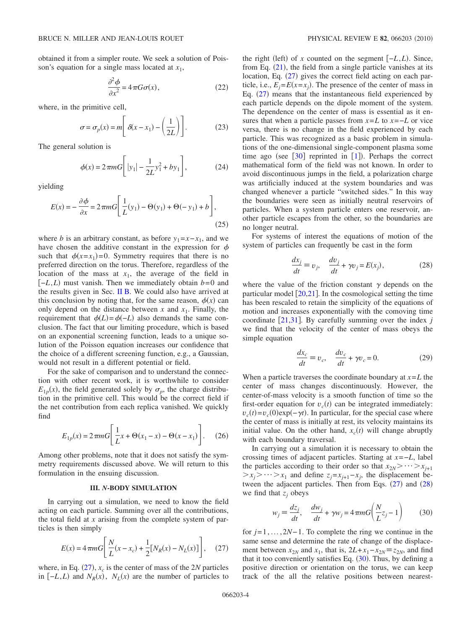obtained it from a simpler route. We seek a solution of Poisson's equation for a single mass located at *x*1,

$$
\frac{\partial^2 \phi}{\partial x^2} = 4\pi G \sigma(x),\tag{22}
$$

where, in the primitive cell,

$$
\sigma = \sigma_p(x) = m \left[ \delta(x - x_1) - \left(\frac{1}{2L}\right) \right].
$$
 (23)

The general solution is

$$
\phi(x) = 2\pi m G \left[ |y_1| - \frac{1}{2L} y_1^2 + b y_1 \right],\tag{24}
$$

yielding

$$
E(x) = -\frac{\partial \phi}{\partial x} = 2\pi m G \left[ \frac{1}{L}(y_1) - \Theta(y_1) + \Theta(-y_1) + b \right],
$$
\n(25)

where *b* is an arbitrary constant, as before  $y_1 = x - x_1$ , and we have chosen the additive constant in the expression for  $\phi$ such that  $\phi(x=x_1)=0$ . Symmetry requires that there is no preferred direction on the torus. Therefore, regardless of the location of the mass at  $x_1$ , the average of the field in  $[-L, L]$  must vanish. Then we immediately obtain *b*=0 and the results given in Sec. II B. We could also have arrived at this conclusion by noting that, for the same reason,  $\phi(x)$  can only depend on the distance between  $x$  and  $x_1$ . Finally, the requirement that  $\phi(L) = \phi(-L)$  also demands the same conclusion. The fact that our limiting procedure, which is based on an exponential screening function, leads to a unique solution of the Poisson equation increases our confidence that the choice of a different screening function, e.g., a Gaussian, would not result in a different potential or field.

For the sake of comparison and to understand the connection with other recent work, it is worthwhile to consider  $E_{1p}(x)$ , the field generated solely by  $\sigma_p$ , the charge distribution in the primitive cell. This would be the correct field if the net contribution from each replica vanished. We quickly find

$$
E_{1p}(x) = 2\pi m G \left[ \frac{1}{L} x + \Theta(x_1 - x) - \Theta(x - x_1) \right].
$$
 (26)

Among other problems, note that it does not satisfy the symmetry requirements discussed above. We will return to this formulation in the ensuing discussion.

#### **III.** *N***-BODY SIMULATION**

In carrying out a simulation, we need to know the field acting on each particle. Summing over all the contributions, the total field at *x* arising from the complete system of particles is then simply

$$
E(x) = 4\pi mG \left[ \frac{N}{L}(x - x_c) + \frac{1}{2} [N_R(x) - N_L(x)] \right],
$$
 (27)

where, in Eq.  $(27)$ ,  $x_c$  is the center of mass of the 2*N* particles in  $[-L, L)$  and  $N_R(x)$ ,  $N_L(x)$  are the number of particles to

the right (left) of *x* counted on the segment  $[-L, L)$ . Since, from Eq.  $(21)$ , the field from a single particle vanishes at its location, Eq.  $(27)$  gives the correct field acting on each particle, i.e.,  $E_j = E(x = x_j)$ . The presence of the center of mass in Eq.  $(27)$  means that the instantaneous field experienced by each particle depends on the dipole moment of the system. The dependence on the center of mass is essential as it ensures that when a particle passes from  $x=L$  to  $x=-L$  or vice versa, there is no change in the field experienced by each particle. This was recognized as a basic problem in simulations of the one-dimensional single-component plasma some time ago (see  $[30]$  reprinted in  $[1]$ ). Perhaps the correct mathematical form of the field was not known. In order to avoid discontinuous jumps in the field, a polarization charge was artificially induced at the system boundaries and was changed whenever a particle "switched sides." In this way the boundaries were seen as initially neutral reservoirs of particles. When a system particle enters one reservoir, another particle escapes from the other, so the boundaries are no longer neutral.

For systems of interest the equations of motion of the system of particles can frequently be cast in the form

$$
\frac{dx_j}{dt} \equiv v_j, \quad \frac{dv_j}{dt} + \gamma v_j = E(x_j), \tag{28}
$$

where the value of the friction constant  $\gamma$  depends on the particular model  $\left[20,21\right]$ . In the cosmological setting the time has been rescaled to retain the simplicity of the equations of motion and increases exponentially with the comoving time coordinate [21,31]. By carefully summing over the index *j* we find that the velocity of the center of mass obeys the simple equation

$$
\frac{dx_c}{dt} \equiv v_c, \quad \frac{dv_c}{dt} + \gamma v_c = 0.
$$
 (29)

When a particle traverses the coordinate boundary at  $x = L$  the center of mass changes discontinuously. However, the center-of-mass velocity is a smooth function of time so the first-order equation for  $v_c(t)$  can be integrated immediately:  $v_c(t) = v_c(0) \exp(-\gamma t)$ . In particular, for the special case where the center of mass is initially at rest, its velocity maintains its initial value. On the other hand,  $x_c(t)$  will change abruptly with each boundary traversal.

In carrying out a simulation it is necessary to obtain the crossing times of adjacent particles. Starting at *x*=−*L*, label the particles according to their order so that  $x_{2N}$  >  $\cdots$  >  $x_{i+1}$  $>$ *x<sub>i</sub>* $>$   $\cdots$   $>$ *x*<sub>1</sub> and define *z<sub>i</sub>*=*x<sub>i+1</sub>*−*x<sub>i</sub>*, the displacement between the adjacent particles. Then from Eqs.  $(27)$  and  $(28)$ we find that  $z_i$  obeys

$$
w_j \equiv \frac{dz_j}{dt}, \quad \frac{dw_j}{dt} + \gamma w_j = 4 \pi m G \left(\frac{N}{L} z_j - 1\right) \tag{30}
$$

for *j*=1,...,2*N*− 1. To complete the ring we continue in the same sense and determine the rate of change of the displacement between  $x_{2N}$  and  $x_1$ , that is,  $2L + x_1 - x_{2N} \equiv z_{2N}$ , and find that it too conveniently satisfies Eq.  $(30)$ . Thus, by defining a positive direction or orientation on the torus, we can keep track of the all the relative positions between nearest-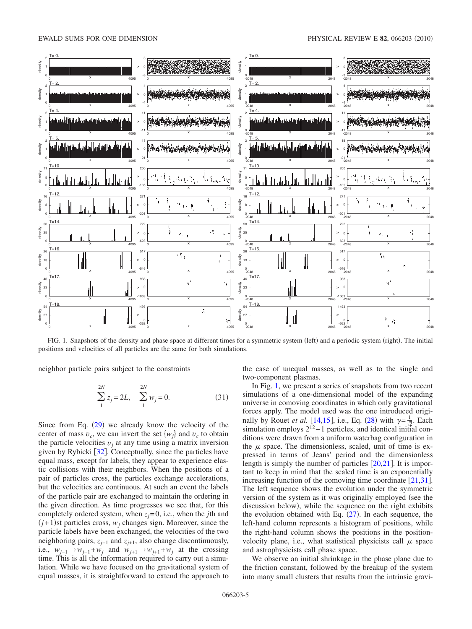#### EWALD SUMS FOR ONE DIMENSION **PHYSICAL REVIEW E 82**, 066203 (2010)



FIG. 1. Snapshots of the density and phase space at different times for a symmetric system (left) and a periodic system (right). The initial positions and velocities of all particles are the same for both simulations.

neighbor particle pairs subject to the constraints

$$
\sum_{1}^{2N} z_j = 2L, \quad \sum_{1}^{2N} w_j = 0. \tag{31}
$$

Since from Eq.  $(29)$  we already know the velocity of the center of mass  $v_c$ , we can invert the set  $\{w_i\}$  and  $v_c$  to obtain the particle velocities  $v_j$  at any time using a matrix inversion given by Rybicki [32]. Conceptually, since the particles have equal mass, except for labels, they appear to experience elastic collisions with their neighbors. When the positions of a pair of particles cross, the particles exchange accelerations, but the velocities are continuous. At such an event the labels of the particle pair are exchanged to maintain the ordering in the given direction. As time progresses we see that, for this completely ordered system, when  $z_j = 0$ , i.e., when the *j*th and  $(j+1)$ st particles cross,  $w_j$  changes sign. Moreover, since the particle labels have been exchanged, the velocities of the two neighboring pairs,  $z_{j-1}$  and  $z_{j+1}$ , also change discontinuously, i.e.,  $w_{j-1} \rightarrow w_{j-1} + w_j$  and  $w_{j+1} \rightarrow w_{j+1} + w_j$  at the crossing time. This is all the information required to carry out a simulation. While we have focused on the gravitational system of equal masses, it is straightforward to extend the approach to the case of unequal masses, as well as to the single and two-component plasmas.

In Fig. 1, we present a series of snapshots from two recent simulations of a one-dimensional model of the expanding universe in comoving coordinates in which only gravitational forces apply. The model used was the one introduced originally by Rouet *et al.* [14,15], i.e., Eq. (28) with  $\gamma = \frac{1}{2}$ . Each simulation employs  $2^{12}$ −1 particles, and identical initial conditions were drawn from a uniform waterbag configuration in the  $\mu$  space. The dimensionless, scaled, unit of time is expressed in terms of Jeans' period and the dimensionless length is simply the number of particles  $[20,21]$ . It is important to keep in mind that the scaled time is an exponentially increasing function of the comoving time coordinate  $[21,31]$ . The left sequence shows the evolution under the symmetric version of the system as it was originally employed (see the discussion below), while the sequence on the right exhibits the evolution obtained with Eq.  $(27)$ . In each sequence, the left-hand column represents a histogram of positions, while the right-hand column shows the positions in the positionvelocity plane, i.e., what statistical physicists call  $\mu$  space and astrophysicists call phase space.

We observe an initial shrinkage in the phase plane due to the friction constant, followed by the breakup of the system into many small clusters that results from the intrinsic gravi-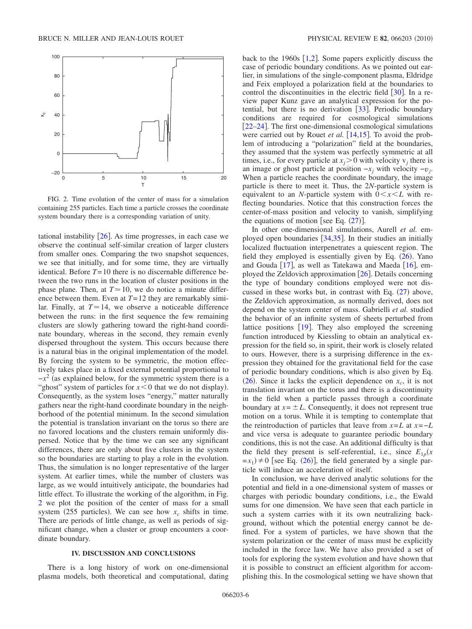

FIG. 2. Time evolution of the center of mass for a simulation containing 255 particles. Each time a particle crosses the coordinate system boundary there is a corresponding variation of unity.

tational instability  $[26]$ . As time progresses, in each case we observe the continual self-similar creation of larger clusters from smaller ones. Comparing the two snapshot sequences, we see that initially, and for some time, they are virtually identical. Before  $T = 10$  there is no discernable difference between the two runs in the location of cluster positions in the phase plane. Then, at  $T \approx 10$ , we do notice a minute difference between them. Even at *T*= 12 they are remarkably similar. Finally, at  $T \approx 14$ , we observe a noticeable difference between the runs: in the first sequence the few remaining clusters are slowly gathering toward the right-hand coordinate boundary, whereas in the second, they remain evenly dispersed throughout the system. This occurs because there is a natural bias in the original implementation of the model. By forcing the system to be symmetric, the motion effectively takes place in a fixed external potential proportional to  $-x^2$  (as explained below, for the symmetric system there is a "ghost" system of particles for  $x < 0$  that we do not display). Consequently, as the system loses "energy," matter naturally gathers near the right-hand coordinate boundary in the neighborhood of the potential minimum. In the second simulation the potential is translation invariant on the torus so there are no favored locations and the clusters remain uniformly dispersed. Notice that by the time we can see any significant differences, there are only about five clusters in the system so the boundaries are starting to play a role in the evolution. Thus, the simulation is no longer representative of the larger system. At earlier times, while the number of clusters was large, as we would intuitively anticipate, the boundaries had little effect. To illustrate the working of the algorithm, in Fig. 2 we plot the position of the center of mass for a small system (255 particles). We can see how  $x_c$  shifts in time. There are periods of little change, as well as periods of significant change, when a cluster or group encounters a coordinate boundary.

#### **IV. DISCUSSION AND CONCLUSIONS**

There is a long history of work on one-dimensional plasma models, both theoretical and computational, dating back to the 1960s  $[1,2]$ . Some papers explicitly discuss the case of periodic boundary conditions. As we pointed out earlier, in simulations of the single-component plasma, Eldridge and Feix employed a polarization field at the boundaries to control the discontinuities in the electric field  $\lceil 30 \rceil$ . In a review paper Kunz gave an analytical expression for the potential, but there is no derivation  $\lceil 33 \rceil$ . Periodic boundary conditions are required for cosmological simulations [22–24]. The first one-dimensional cosmological simulations were carried out by Rouet *et al.* [14,15]. To avoid the problem of introducing a "polarization" field at the boundaries, they assumed that the system was perfectly symmetric at all times, i.e., for every particle at  $x_i > 0$  with velocity  $v_j$  there is an image or ghost particle at position  $-x_j$  with velocity  $-v_j$ . When a particle reaches the coordinate boundary, the image particle is there to meet it. Thus, the 2*N*-particle system is equivalent to an *N*-particle system with  $0 < x < L$  with reflecting boundaries. Notice that this construction forces the center-of-mass position and velocity to vanish, simplifying the equations of motion [see Eq.  $(27)$ ].

In other one-dimensional simulations, Aurell *et al.* employed open boundaries  $[34,35]$ . In their studies an initially localized fluctuation interpenetrates a quiescent region. The field they employed is essentially given by Eq.  $(26)$ . Yano and Gouda  $[17]$ , as well as Tatekawa and Maeda  $[16]$ , employed the Zeldovich approximation  $\lceil 26 \rceil$ . Details concerning the type of boundary conditions employed were not discussed in these works but, in contrast with Eq.  $(27)$  above, the Zeldovich approximation, as normally derived, does not depend on the system center of mass. Gabrielli *et al.* studied the behavior of an infinite system of sheets perturbed from lattice positions  $[19]$ . They also employed the screening function introduced by Kiessling to obtain an analytical expression for the field so, in spirit, their work is closely related to ours. However, there is a surprising difference in the expression they obtained for the gravitational field for the case of periodic boundary conditions, which is also given by Eq. (26). Since it lacks the explicit dependence on  $x_c$ , it is not translation invariant on the torus and there is a discontinuity in the field when a particle passes through a coordinate boundary at  $x = \pm L$ . Consequently, it does not represent true motion on a torus. While it is tempting to contemplate that the reintroduction of particles that leave from  $x = L$  at  $x = -L$ and vice versa is adequate to guarantee periodic boundary conditions, this is not the case. An additional difficulty is that the field they present is self-referential, i.e., since  $E_{1p}(x)$  $=x_1 \neq 0$  [see Eq. (26)], the field generated by a single particle will induce an acceleration of itself.

In conclusion, we have derived analytic solutions for the potential and field in a one-dimensional system of masses or charges with periodic boundary conditions, i.e., the Ewald sums for one dimension. We have seen that each particle in such a system carries with it its own neutralizing background, without which the potential energy cannot be defined. For a system of particles, we have shown that the system polarization or the center of mass must be explicitly included in the force law. We have also provided a set of tools for exploring the system evolution and have shown that it is possible to construct an efficient algorithm for accomplishing this. In the cosmological setting we have shown that